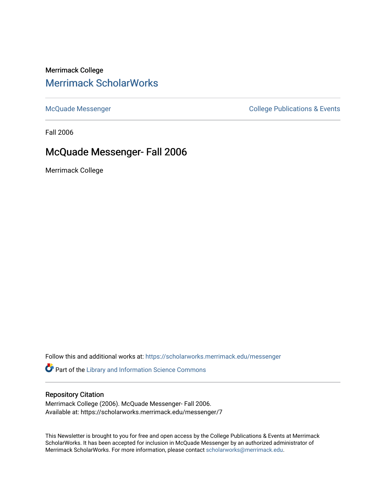# Merrimack College [Merrimack ScholarWorks](https://scholarworks.merrimack.edu/)

[McQuade Messenger](https://scholarworks.merrimack.edu/messenger) College Publications & Events

Fall 2006

# McQuade Messenger- Fall 2006

Merrimack College

Follow this and additional works at: [https://scholarworks.merrimack.edu/messenger](https://scholarworks.merrimack.edu/messenger?utm_source=scholarworks.merrimack.edu%2Fmessenger%2F7&utm_medium=PDF&utm_campaign=PDFCoverPages) 

Part of the [Library and Information Science Commons](http://network.bepress.com/hgg/discipline/1018?utm_source=scholarworks.merrimack.edu%2Fmessenger%2F7&utm_medium=PDF&utm_campaign=PDFCoverPages) 

#### Repository Citation

Merrimack College (2006). McQuade Messenger- Fall 2006. Available at: https://scholarworks.merrimack.edu/messenger/7

This Newsletter is brought to you for free and open access by the College Publications & Events at Merrimack ScholarWorks. It has been accepted for inclusion in McQuade Messenger by an authorized administrator of Merrimack ScholarWorks. For more information, please contact [scholarworks@merrimack.edu](mailto:scholarworks@merrimack.edu).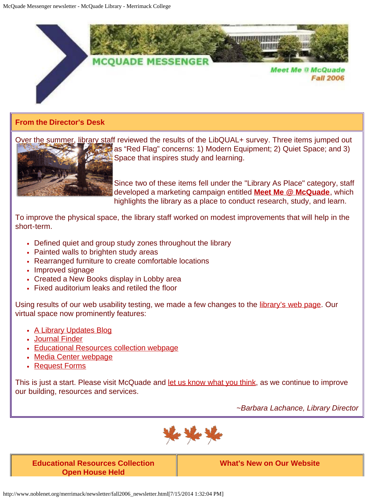

# **From the Director's Desk**

Over the summer, library staff reviewed the results of the LibQUAL+ survey. Three items jumped out as "Red Flag" concerns: 1) Modern Equipment; 2) Quiet Space; and 3) Space that inspires study and learning.

> Since two of these items fell under the "Library As Place" category, staff developed a marketing campaign entitled **[Meet Me @ McQuade](http://meetmemcquade.blogspot.com/)**, which highlights the library as a place to conduct research, study, and learn.

To improve the physical space, the library staff worked on modest improvements that will help in the short-term.

- Defined quiet and group study zones throughout the library
- Painted walls to brighten study areas
- Rearranged furniture to create comfortable locations
- Improved signage
- Created a New Books display in Lobby area
- Fixed auditorium leaks and retiled the floor

Using results of our web usability testing, we made a few changes to the *library's web page*. Our virtual space now prominently features:

- [A Library Updates Blog](http://www.noblenet.org/merrimack/weblog/mcquadelibrary.htm)
- [Journal Finder](http://www.noblenet.org/merrimack/serials/jnlsIndex.html)
- [Educational Resources collection webpage](http://www.noblenet.org/merrimack/ERC/ERChome.htm)
- [Media Center webpage](http://www.noblenet.org/merrimack/merrimackmediaservices/merrimackmediahome.html)
- [Request Forms](http://www.noblenet.org/merrimack/forms.htm)

This is just a start. Please visit McQuade and [let us know what you think,](mailto:barbara.lachance@merrimack.edu) as we continue to improve our building, resources and services.

*~Barbara Lachance, Library Director*



**Educational Resources Collection Open House Held**

**What's New on Our Website**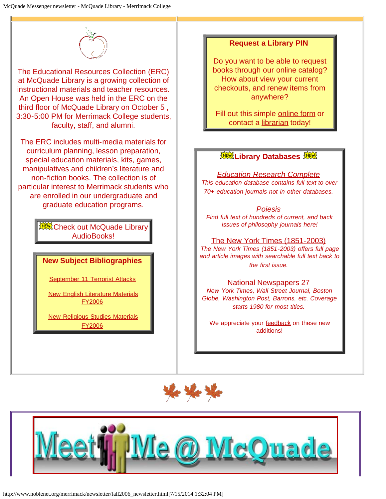

The Educational Resources Collection (ERC) at McQuade Library is a growing collection of instructional materials and teacher resources. An Open House was held in the ERC on the third floor of McQuade Library on October 5 , 3:30-5:00 PM for Merrimack College students, faculty, staff, and alumni.

The ERC includes multi-media materials for curriculum planning, lesson preparation, special education materials, kits, games, manipulatives and children's literature and non-fiction books. The collection is of particular interest to Merrimack students who are enrolled in our undergraduate and graduate education programs.

> **淡、Check out McQuade Library** [AudioBooks!](http://www.noblenet.org/merrimack/booklists/mcn_audio.htm)

### **New Subject Bibliographies**

[September 11 Terrorist Attacks](http://www.noblenet.org/merrimack/booklists/911.htm)

**[New English Literature Materials](http://www.noblenet.org/merrimack/booklists/fy06eng.htm)** [FY2006](http://www.noblenet.org/merrimack/booklists/fy06eng.htm)

**[New Religious Studies Materials](http://www.noblenet.org/merrimack/booklists/fy06relstu.htm)** [FY2006](http://www.noblenet.org/merrimack/booklists/fy06relstu.htm)

### **Request a Library PIN**

Do you want to be able to request books through our online catalog? How about view your current checkouts, and renew items from anywhere?

Fill out this simple [online form](http://www.noblenet.org/merrimack/weblog/2006/09/request-pin-online.html) or contact a [librarian](mailto:christina.condon@merrimack.edu) today!

### **選舉 Library Databases** 選舉

*[Education Research Complete](http://proxy3.noblenet.org/login?url=http://search.ebscohost.com/login.aspx?authtype=ip,uid&profile=ehost&defaultdb=ehh) This education database contains full text to over 70+ education journals not in other databases.*

*[Poiesis](http://proxy3.noblenet.org/login?url=http://poiesis.nlx.com/)  Find full text of hundreds of current, and back issues of philosophy journals here!*

[The New York Times \(1851-2003\)](http://proxy3.noblenet.org/login?url=http://proquest.umi.com/login?COPT=REJTPTFhY2QmSU5UPTAmVkVSPTI=&clientId=42948) *The New York Times (1851-2003) offers full page and article images with searchable full text back to the first issue.*

#### [National Newspapers 27](http://proxy3.noblenet.org/login?url=http://proquest.umi.com/login?COPT=REJTPTgmSU5UPTAmVkVSPTI=&clientId=42948)

*New York Times, Wall Street Journal, Boston Globe, Washington Post, Barrons, etc. Coverage starts 1980 for most titles.*

We appreciate your [feedback](mailto:kathryn.geoffrionscannell@merrimack.edu) on these new additions!



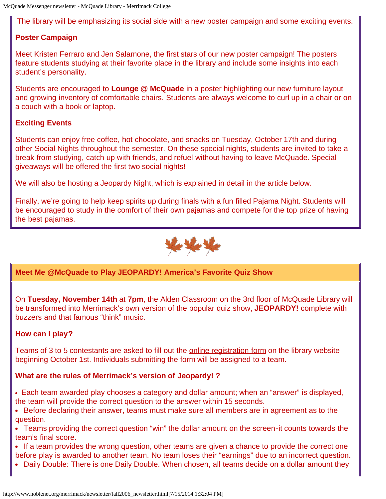The library will be emphasizing its social side with a new poster campaign and some exciting events.

# **Poster Campaign**

Meet Kristen Ferraro and Jen Salamone, the first stars of our new poster campaign! The posters feature students studying at their favorite place in the library and include some insights into each student's personality.

Students are encouraged to **Lounge @ McQuade** in a poster highlighting our new furniture layout and growing inventory of comfortable chairs. Students are always welcome to curl up in a chair or on a couch with a book or laptop.

# **Exciting Events**

Students can enjoy free coffee, hot chocolate, and snacks on Tuesday, October 17th and during other Social Nights throughout the semester. On these special nights, students are invited to take a break from studying, catch up with friends, and refuel without having to leave McQuade. Special giveaways will be offered the first two social nights!

We will also be hosting a Jeopardy Night, which is explained in detail in the article below.

Finally, we're going to help keep spirits up during finals with a fun filled Pajama Night. Students will be encouraged to study in the comfort of their own pajamas and compete for the top prize of having the best pajamas.



# **Meet Me @McQuade to Play JEOPARDY! America's Favorite Quiz Show**

On **Tuesday, November 14th** at **7pm**, the Alden Classroom on the 3rd floor of McQuade Library will be transformed into Merrimack's own version of the popular quiz show, **JEOPARDY!** complete with buzzers and that famous "think" music.

### **How can I play?**

Teams of 3 to 5 contestants are asked to fill out the [online registration form](http://www.noblenet.org/merrimack/weblog/2006/10/jeopardy-sign-up.html) on the library website beginning October 1st. Individuals submitting the form will be assigned to a team.

### **What are the rules of Merrimack's version of Jeopardy! ?**

Each team awarded play chooses a category and dollar amount; when an "answer" is displayed, the team will provide the correct question to the answer within 15 seconds.

- Before declaring their answer, teams must make sure all members are in agreement as to the question.
- Teams providing the correct question "win" the dollar amount on the screen-it counts towards the team's final score.
- If a team provides the wrong question, other teams are given a chance to provide the correct one before play is awarded to another team. No team loses their "earnings" due to an incorrect question.
- Daily Double: There is one Daily Double. When chosen, all teams decide on a dollar amount they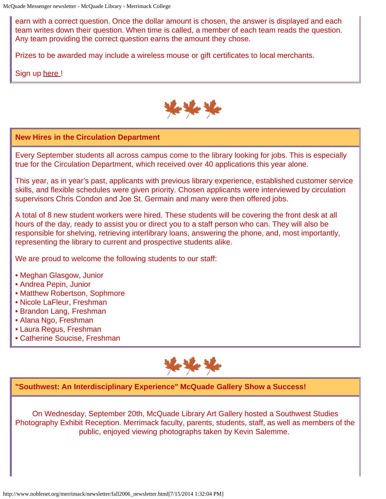earn with a correct question. Once the dollar amount is chosen, the answer is displayed and each team writes down their question. When time is called, a member of each team reads the question. Any team providing the correct question earns the amount they chose.

Prizes to be awarded may include a wireless mouse or gift certificates to local merchants.

Sign up [here !](http://www.noblenet.org/merrimack/weblog/2006/10/jeopardy-sign-up.html)



### **New Hires in the Circulation Department**

Every September students all across campus come to the library looking for jobs. This is especially true for the Circulation Department, which received over 40 applications this year alone.

This year, as in year's past, applicants with previous library experience, established customer service skills, and flexible schedules were given priority. Chosen applicants were interviewed by circulation supervisors Chris Condon and Joe St. Germain and many were then offered jobs.

A total of 8 new student workers were hired. These students will be covering the front desk at all hours of the day, ready to assist you or direct you to a staff person who can. They will also be responsible for shelving, retrieving interlibrary loans, answering the phone, and, most importantly, representing the library to current and prospective students alike.

We are proud to welcome the following students to our staff:

- Meghan Glasgow, Junior
- Andrea Pepin, Junior
- Matthew Robertson, Sophmore
- Nicole LaFleur, Freshman
- Brandon Lang, Freshman
- Alana Ngo, Freshman
- Laura Regus, Freshman
- Catherine Soucise, Freshman



**"Southwest: An Interdisciplinary Experience" McQuade Gallery Show a Success!**

On Wednesday, September 20th, McQuade Library Art Gallery hosted a Southwest Studies Photography Exhibit Reception. Merrimack faculty, parents, students, staff, as well as members of the public, enjoyed viewing photographs taken by Kevin Salemme.